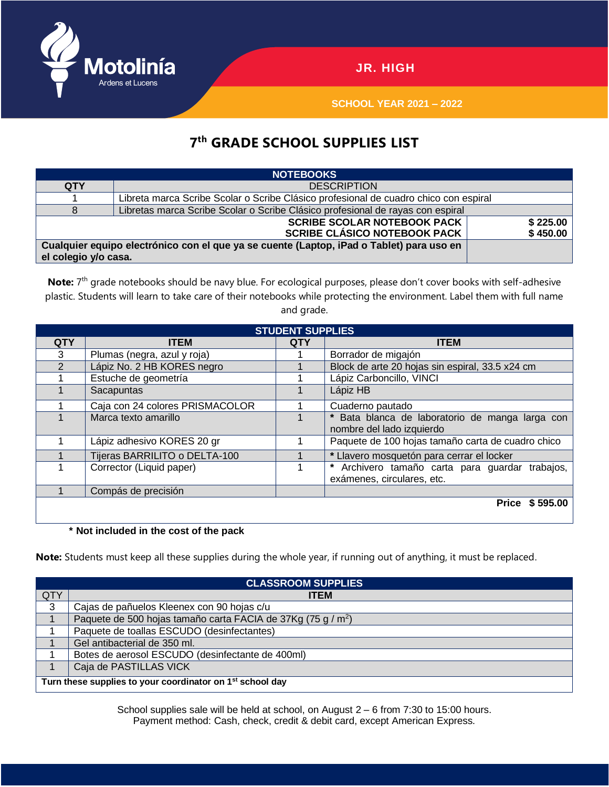

**SCHOOL YEAR 2021 – 2022**

## **7 th GRADE SCHOOL SUPPLIES LIST**

| <b>NOTEBOOKS</b>                                                                         |                                                                                      |  |  |  |  |  |
|------------------------------------------------------------------------------------------|--------------------------------------------------------------------------------------|--|--|--|--|--|
| <b>QTY</b>                                                                               | <b>DESCRIPTION</b>                                                                   |  |  |  |  |  |
|                                                                                          | Libreta marca Scribe Scolar o Scribe Clásico profesional de cuadro chico con espiral |  |  |  |  |  |
| 8                                                                                        | Libretas marca Scribe Scolar o Scribe Clásico profesional de rayas con espiral       |  |  |  |  |  |
|                                                                                          | \$225.00                                                                             |  |  |  |  |  |
|                                                                                          | \$450.00                                                                             |  |  |  |  |  |
| Cualquier equipo electrónico con el que ya se cuente (Laptop, iPad o Tablet) para uso en |                                                                                      |  |  |  |  |  |
| el colegio y/o casa.                                                                     |                                                                                      |  |  |  |  |  |

Note: 7<sup>th</sup> grade notebooks should be navy blue. For ecological purposes, please don't cover books with self-adhesive plastic. Students will learn to take care of their notebooks while protecting the environment. Label them with full name and grade.

| <b>STUDENT SUPPLIES</b> |                                 |            |                                                                               |  |  |  |  |
|-------------------------|---------------------------------|------------|-------------------------------------------------------------------------------|--|--|--|--|
| <b>QTY</b>              | <b>ITEM</b>                     | <b>QTY</b> | <b>ITEM</b>                                                                   |  |  |  |  |
| 3                       | Plumas (negra, azul y roja)     |            | Borrador de migajón                                                           |  |  |  |  |
| $\mathcal{P}$           | Lápiz No. 2 HB KORES negro      |            | Block de arte 20 hojas sin espiral, 33.5 x24 cm                               |  |  |  |  |
|                         | Estuche de geometría            |            | Lápiz Carboncillo, VINCI                                                      |  |  |  |  |
|                         | Sacapuntas                      |            | Lápiz HB                                                                      |  |  |  |  |
|                         | Caja con 24 colores PRISMACOLOR |            | Cuaderno pautado                                                              |  |  |  |  |
|                         | Marca texto amarillo            |            | * Bata blanca de laboratorio de manga larga con<br>nombre del lado izquierdo  |  |  |  |  |
|                         | Lápiz adhesivo KORES 20 gr      |            | Paquete de 100 hojas tamaño carta de cuadro chico                             |  |  |  |  |
|                         | Tijeras BARRILITO o DELTA-100   |            | * Llavero mosquetón para cerrar el locker                                     |  |  |  |  |
|                         | Corrector (Liquid paper)        |            | * Archivero tamaño carta para guardar trabajos,<br>exámenes, circulares, etc. |  |  |  |  |
|                         | Compás de precisión             |            |                                                                               |  |  |  |  |
|                         |                                 |            | Price \$595.00                                                                |  |  |  |  |

## **\* Not included in the cost of the pack**

**Note:** Students must keep all these supplies during the whole year, if running out of anything, it must be replaced.

| <b>CLASSROOM SUPPLIES</b>                                             |                                                                          |  |  |  |
|-----------------------------------------------------------------------|--------------------------------------------------------------------------|--|--|--|
| QTY                                                                   | <b>ITEM</b>                                                              |  |  |  |
| 3                                                                     | Cajas de pañuelos Kleenex con 90 hojas c/u                               |  |  |  |
|                                                                       | Paquete de 500 hojas tamaño carta FACIA de 37Kg (75 g / m <sup>2</sup> ) |  |  |  |
|                                                                       | Paquete de toallas ESCUDO (desinfectantes)                               |  |  |  |
|                                                                       | Gel antibacterial de 350 ml.                                             |  |  |  |
|                                                                       | Botes de aerosol ESCUDO (desinfectante de 400ml)                         |  |  |  |
|                                                                       | Caja de PASTILLAS VICK                                                   |  |  |  |
| Turn these supplies to your coordinator on 1 <sup>st</sup> school day |                                                                          |  |  |  |

School supplies sale will be held at school, on August 2 – 6 from 7:30 to 15:00 hours. Payment method: Cash, check, credit & debit card, except American Express.